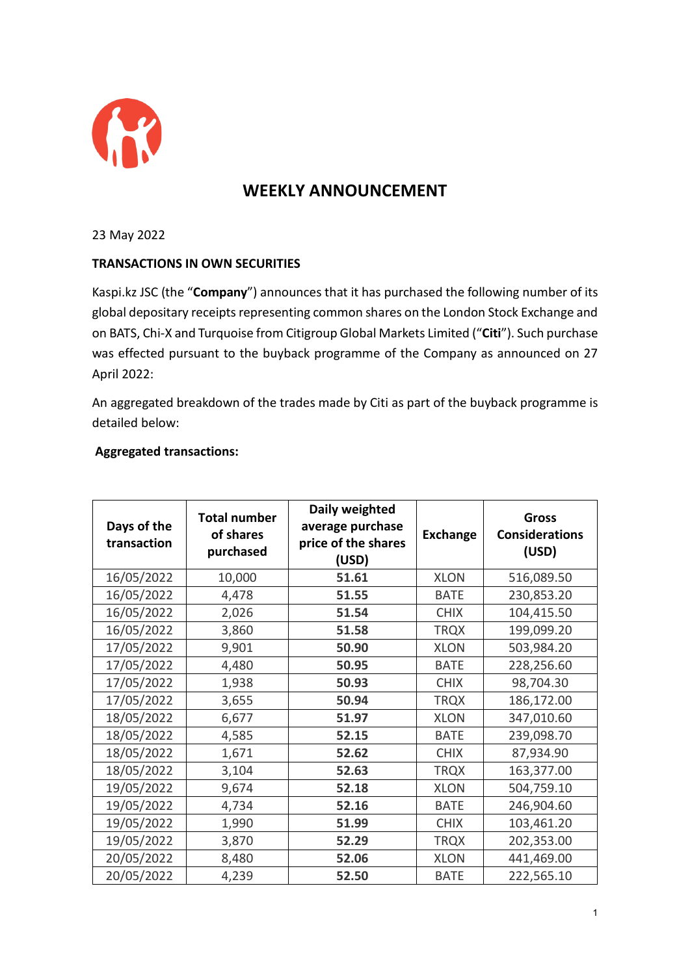

## **WEEKLY ANNOUNCEMENT**

23 May 2022

## **TRANSACTIONS IN OWN SECURITIES**

Kaspi.kz JSC (the "**Company**") announces that it has purchased the following number of its global depositary receipts representing common shares on the London Stock Exchange and on BATS, Chi-X and Turquoise from Citigroup Global Markets Limited ("**Citi**"). Such purchase was effected pursuant to the buyback programme of the Company as announced on 27 April 2022:

An aggregated breakdown of the trades made by Citi as part of the buyback programme is detailed below:

## **Aggregated transactions:**

| Days of the<br>transaction | <b>Total number</b><br>of shares<br>purchased | Daily weighted<br>average purchase<br>price of the shares<br>(USD) | <b>Exchange</b> | <b>Gross</b><br><b>Considerations</b><br>(USD) |
|----------------------------|-----------------------------------------------|--------------------------------------------------------------------|-----------------|------------------------------------------------|
| 16/05/2022                 | 10,000                                        | 51.61                                                              | <b>XLON</b>     | 516,089.50                                     |
| 16/05/2022                 | 4,478                                         | 51.55                                                              | <b>BATE</b>     | 230,853.20                                     |
| 16/05/2022                 | 2,026                                         | 51.54                                                              | <b>CHIX</b>     | 104,415.50                                     |
| 16/05/2022                 | 3,860                                         | 51.58                                                              | <b>TRQX</b>     | 199,099.20                                     |
| 17/05/2022                 | 9,901                                         | 50.90                                                              | <b>XLON</b>     | 503,984.20                                     |
| 17/05/2022                 | 4,480                                         | 50.95                                                              | <b>BATE</b>     | 228,256.60                                     |
| 17/05/2022                 | 1,938                                         | 50.93                                                              | <b>CHIX</b>     | 98,704.30                                      |
| 17/05/2022                 | 3,655                                         | 50.94                                                              | <b>TRQX</b>     | 186,172.00                                     |
| 18/05/2022                 | 6,677                                         | 51.97                                                              | <b>XLON</b>     | 347,010.60                                     |
| 18/05/2022                 | 4,585                                         | 52.15                                                              | <b>BATE</b>     | 239,098.70                                     |
| 18/05/2022                 | 1,671                                         | 52.62                                                              | <b>CHIX</b>     | 87,934.90                                      |
| 18/05/2022                 | 3,104                                         | 52.63                                                              | <b>TRQX</b>     | 163,377.00                                     |
| 19/05/2022                 | 9,674                                         | 52.18                                                              | <b>XLON</b>     | 504,759.10                                     |
| 19/05/2022                 | 4,734                                         | 52.16                                                              | <b>BATE</b>     | 246,904.60                                     |
| 19/05/2022                 | 1,990                                         | 51.99                                                              | <b>CHIX</b>     | 103,461.20                                     |
| 19/05/2022                 | 3,870                                         | 52.29                                                              | <b>TRQX</b>     | 202,353.00                                     |
| 20/05/2022                 | 8,480                                         | 52.06                                                              | <b>XLON</b>     | 441,469.00                                     |
| 20/05/2022                 | 4,239                                         | 52.50                                                              | <b>BATE</b>     | 222,565.10                                     |